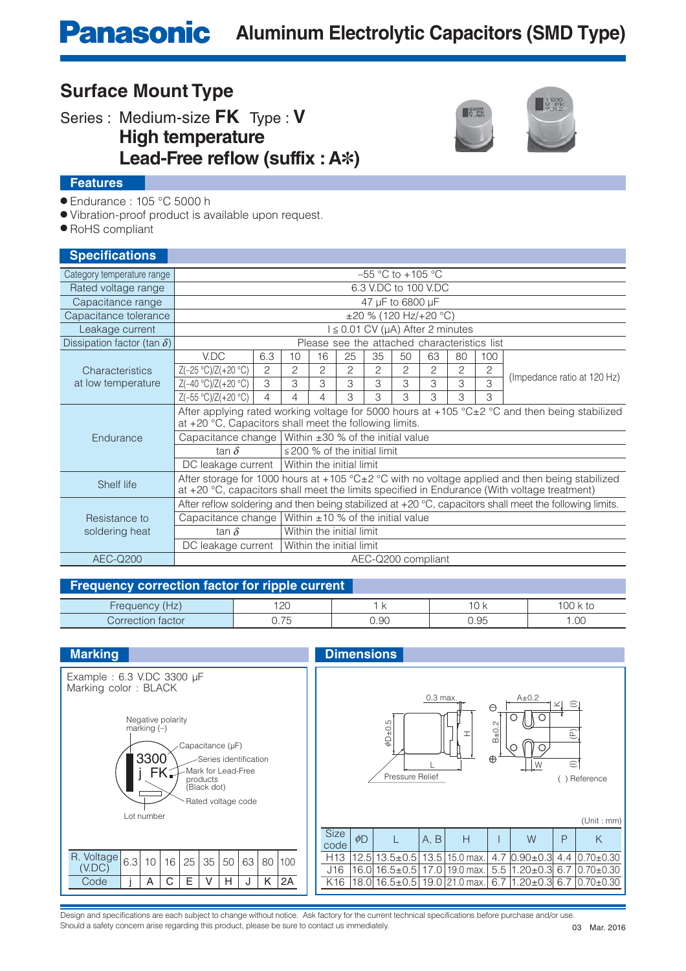# **Panasonic** Aluminum Electrolytic Capacitors (SMD Type)

### **Surface Mount Type**

Series : Medium-size **FK** Type : **V**

**High temperature**

 **Lead-Free reflow (suffix : A<sup>∗</sup>)** 



#### **Features**

● Endurance : 105 °C 5000 h

● Vibration-proof product is available upon request.

● RoHS compliant

| <b>Specifications</b>              |                                                                                                                                                                                                                         |                                                             |    |                |                |    |    |                |    |              |                             |
|------------------------------------|-------------------------------------------------------------------------------------------------------------------------------------------------------------------------------------------------------------------------|-------------------------------------------------------------|----|----------------|----------------|----|----|----------------|----|--------------|-----------------------------|
| Category temperature range         | $-55$ °C to $+105$ °C                                                                                                                                                                                                   |                                                             |    |                |                |    |    |                |    |              |                             |
| Rated voltage range                | 6.3 V.DC to 100 V.DC                                                                                                                                                                                                    |                                                             |    |                |                |    |    |                |    |              |                             |
| Capacitance range                  | 47 µF to 6800 µF                                                                                                                                                                                                        |                                                             |    |                |                |    |    |                |    |              |                             |
| Capacitance tolerance              | $\pm 20$ % (120 Hz/+20 °C)                                                                                                                                                                                              |                                                             |    |                |                |    |    |                |    |              |                             |
| Leakage current                    | $1 \le 0.01$ CV ( $\mu$ A) After 2 minutes                                                                                                                                                                              |                                                             |    |                |                |    |    |                |    |              |                             |
| Dissipation factor (tan $\delta$ ) | Please see the attached characteristics list                                                                                                                                                                            |                                                             |    |                |                |    |    |                |    |              |                             |
|                                    | V.DC                                                                                                                                                                                                                    | 6.3                                                         | 10 | 16             | 25             | 35 | 50 | 63             | 80 | 100          |                             |
| Characteristics                    | $Z(-25 °C)/Z(+20 °C)$                                                                                                                                                                                                   | $\overline{c}$                                              | 2  | $\overline{2}$ | $\overline{c}$ | 2  | 2  | $\overline{c}$ | 2  | $\mathbf{2}$ | (Impedance ratio at 120 Hz) |
| at low temperature                 | $Z(-40 °C)/Z(+20 °C)$                                                                                                                                                                                                   | 3                                                           | З  | 3              | 3              | 3  | 3  | 3              | 3  | 3            |                             |
|                                    | $Z(-55 °C)/Z(+20 °C)$                                                                                                                                                                                                   | 4                                                           | 4  | 4              | 3              | 3  | 3  | 3              | 3  | 3            |                             |
|                                    | After applying rated working voltage for 5000 hours at +105 °C±2 °C and then being stabilized<br>at $+20$ °C, Capacitors shall meet the following limits.                                                               |                                                             |    |                |                |    |    |                |    |              |                             |
| Endurance                          |                                                                                                                                                                                                                         | Capacitance change   Within $\pm 30$ % of the initial value |    |                |                |    |    |                |    |              |                             |
|                                    | tan $\delta$                                                                                                                                                                                                            | $\leq$ 200 % of the initial limit                           |    |                |                |    |    |                |    |              |                             |
|                                    | Within the initial limit<br>DC leakage current                                                                                                                                                                          |                                                             |    |                |                |    |    |                |    |              |                             |
| Shelf life                         | After storage for 1000 hours at +105 $^{\circ}$ C $\pm$ 2 $^{\circ}$ C with no voltage applied and then being stabilized<br>at +20 °C, capacitors shall meet the limits specified in Endurance (With voltage treatment) |                                                             |    |                |                |    |    |                |    |              |                             |
|                                    | After reflow soldering and then being stabilized at $+20$ °C, capacitors shall meet the following limits.                                                                                                               |                                                             |    |                |                |    |    |                |    |              |                             |
| Resistance to                      | Capacitance change                                                                                                                                                                                                      | Within $\pm 10$ % of the initial value                      |    |                |                |    |    |                |    |              |                             |
| soldering heat                     | tan $\delta$                                                                                                                                                                                                            | Within the initial limit                                    |    |                |                |    |    |                |    |              |                             |
|                                    | Within the initial limit<br>DC leakage current                                                                                                                                                                          |                                                             |    |                |                |    |    |                |    |              |                             |
| <b>AEC-Q200</b>                    | AEC-Q200 compliant                                                                                                                                                                                                      |                                                             |    |                |                |    |    |                |    |              |                             |

#### **Frequency correction factor for ripple current**

| $\sim$        | .00<br>∠∪  |                         | л.<br>$\mathsf{r}$<br>$\overline{\phantom{a}}$<br>_____ | $\sim$ $\sim$         |
|---------------|------------|-------------------------|---------------------------------------------------------|-----------------------|
| ∩rr∈<br>Tacto | $- -$<br>◡ | $\sim$<br>U.YU<br>$  -$ | $\sim$ $-$<br>⊣ات<br>$  -$                              | $\cap$<br>1.UU<br>___ |



Design and specifications are each subject to change without notice. Ask factory for the current technical specifications before purchase and/or use. Should a safety concern arise regarding this product, please be sure to contact us immediately.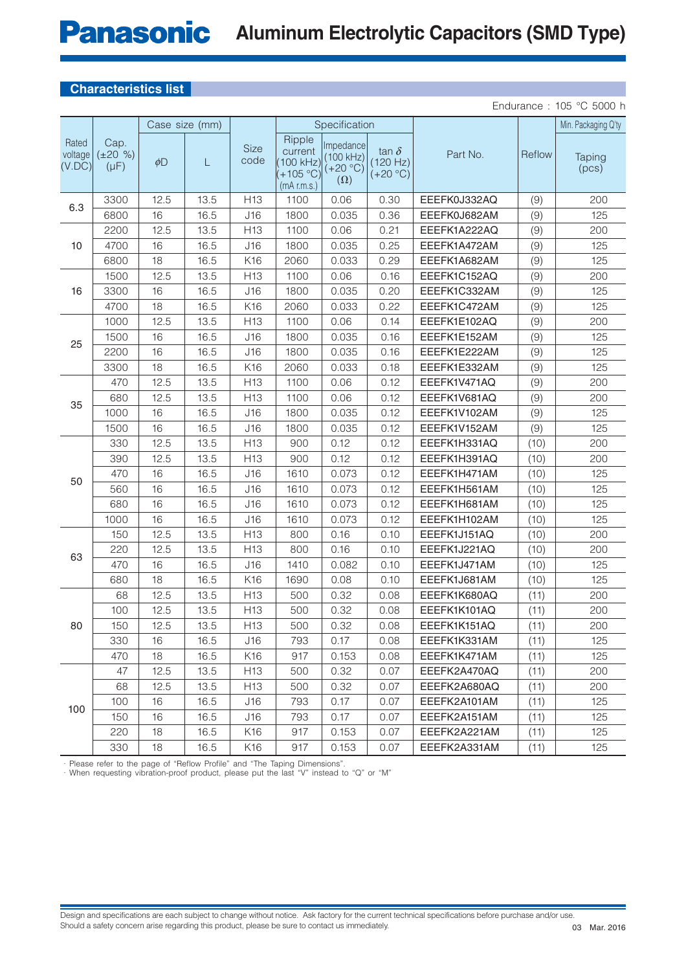# **Panasonic** Aluminum Electrolytic Capacitors (SMD Type)

#### **Characteristics list**

Endurance : 105 °C 5000 h

|                            |                                    | Case size (mm) |      |                     | Specification                                            |                                                    |                                        |              |        | Min. Packaging Q'ty |
|----------------------------|------------------------------------|----------------|------|---------------------|----------------------------------------------------------|----------------------------------------------------|----------------------------------------|--------------|--------|---------------------|
| Rated<br>voltage<br>(V.DC) | Cap.<br>$(\pm 20 \%)$<br>$(\mu F)$ | $\phi$ D       | L    | <b>Size</b><br>code | Ripple<br>current<br>100 kHz)<br>+105 °C)<br>(mA r.m.s.) | Impedance<br>(100 kHz)<br>$(+20 °C)$<br>$(\Omega)$ | tan $\delta$<br>(120 Hz)<br>$(+20 °C)$ | Part No.     | Reflow | Taping<br>(pcs)     |
| 6.3                        | 3300                               | 12.5           | 13.5 | H <sub>13</sub>     | 1100                                                     | 0.06                                               | 0.30                                   | EEEFK0J332AQ | (9)    | 200                 |
|                            | 6800                               | 16             | 16.5 | J16                 | 1800                                                     | 0.035                                              | 0.36                                   | EEEFK0J682AM | (9)    | 125                 |
| 10                         | 2200                               | 12.5           | 13.5 | H <sub>13</sub>     | 1100                                                     | 0.06                                               | 0.21                                   | EEEFK1A222AQ | (9)    | 200                 |
|                            | 4700                               | 16             | 16.5 | J16                 | 1800                                                     | 0.035                                              | 0.25                                   | EEEFK1A472AM | (9)    | 125                 |
|                            | 6800                               | 18             | 16.5 | K16                 | 2060                                                     | 0.033                                              | 0.29                                   | EEEFK1A682AM | (9)    | 125                 |
| 16                         | 1500                               | 12.5           | 13.5 | H <sub>13</sub>     | 1100                                                     | 0.06                                               | 0.16                                   | EEEFK1C152AQ | (9)    | 200                 |
|                            | 3300                               | 16             | 16.5 | J16                 | 1800                                                     | 0.035                                              | 0.20                                   | EEEFK1C332AM | (9)    | 125                 |
|                            | 4700                               | 18             | 16.5 | K16                 | 2060                                                     | 0.033                                              | 0.22                                   | EEEFK1C472AM | (9)    | 125                 |
| 25                         | 1000                               | 12.5           | 13.5 | H <sub>13</sub>     | 1100                                                     | 0.06                                               | 0.14                                   | EEEFK1E102AQ | (9)    | 200                 |
|                            | 1500                               | 16             | 16.5 | J16                 | 1800                                                     | 0.035                                              | 0.16                                   | EEEFK1E152AM | (9)    | 125                 |
|                            | 2200                               | 16             | 16.5 | J16                 | 1800                                                     | 0.035                                              | 0.16                                   | EEEFK1E222AM | (9)    | 125                 |
|                            | 3300                               | 18             | 16.5 | K16                 | 2060                                                     | 0.033                                              | 0.18                                   | EEEFK1E332AM | (9)    | 125                 |
| 35                         | 470                                | 12.5           | 13.5 | H13                 | 1100                                                     | 0.06                                               | 0.12                                   | EEEFK1V471AQ | (9)    | 200                 |
|                            | 680                                | 12.5           | 13.5 | H <sub>13</sub>     | 1100                                                     | 0.06                                               | 0.12                                   | EEEFK1V681AQ | (9)    | 200                 |
|                            | 1000                               | 16             | 16.5 | J16                 | 1800                                                     | 0.035                                              | 0.12                                   | EEEFK1V102AM | (9)    | 125                 |
|                            | 1500                               | 16             | 16.5 | J16                 | 1800                                                     | 0.035                                              | 0.12                                   | EEEFK1V152AM | (9)    | 125                 |
| 50                         | 330                                | 12.5           | 13.5 | H <sub>13</sub>     | 900                                                      | 0.12                                               | 0.12                                   | EEEFK1H331AQ | (10)   | 200                 |
|                            | 390                                | 12.5           | 13.5 | H13                 | 900                                                      | 0.12                                               | 0.12                                   | EEEFK1H391AQ | (10)   | 200                 |
|                            | 470                                | 16             | 16.5 | J16                 | 1610                                                     | 0.073                                              | 0.12                                   | EEEFK1H471AM | (10)   | 125                 |
|                            | 560                                | 16             | 16.5 | J16                 | 1610                                                     | 0.073                                              | 0.12                                   | EEEFK1H561AM | (10)   | 125                 |
|                            | 680                                | 16             | 16.5 | J16                 | 1610                                                     | 0.073                                              | 0.12                                   | EEEFK1H681AM | (10)   | 125                 |
|                            | 1000                               | 16             | 16.5 | J16                 | 1610                                                     | 0.073                                              | 0.12                                   | EEEFK1H102AM | (10)   | 125                 |
| 63                         | 150                                | 12.5           | 13.5 | H <sub>13</sub>     | 800                                                      | 0.16                                               | 0.10                                   | EEEFK1J151AQ | (10)   | 200                 |
|                            | 220                                | 12.5           | 13.5 | H <sub>13</sub>     | 800                                                      | 0.16                                               | 0.10                                   | EEEFK1J221AQ | (10)   | 200                 |
|                            | 470                                | 16             | 16.5 | J16                 | 1410                                                     | 0.082                                              | 0.10                                   | EEEFK1J471AM | (10)   | 125                 |
|                            | 680                                | 18             | 16.5 | K16                 | 1690                                                     | 0.08                                               | 0.10                                   | EEEFK1J681AM | (10)   | 125                 |
| 80                         | 68                                 | 12.5           | 13.5 | H <sub>13</sub>     | 500                                                      | 0.32                                               | 0.08                                   | EEEFK1K680AQ | (11)   | 200                 |
|                            | 100                                | 12.5           | 13.5 | H13                 | 500                                                      | 0.32                                               | 0.08                                   | EEEFK1K101AQ | (11)   | 200                 |
|                            | 150                                | 12.5           | 13.5 | H <sub>13</sub>     | 500                                                      | 0.32                                               | 0.08                                   | EEEFK1K151AQ | (11)   | 200                 |
|                            | 330                                | 16             | 16.5 | J16                 | 793                                                      | 0.17                                               | 0.08                                   | EEEFK1K331AM | (11)   | 125                 |
|                            | 470                                | 18             | 16.5 | K16                 | 917                                                      | 0.153                                              | 0.08                                   | EEEFK1K471AM | (11)   | 125                 |
| 100                        | 47                                 | 12.5           | 13.5 | H13                 | 500                                                      | 0.32                                               | 0.07                                   | EEEFK2A470AQ | (11)   | 200                 |
|                            | 68                                 | 12.5           | 13.5 | H13                 | 500                                                      | 0.32                                               | 0.07                                   | EEEFK2A680AQ | (11)   | 200                 |
|                            | 100                                | 16             | 16.5 | J16                 | 793                                                      | 0.17                                               | 0.07                                   | EEEFK2A101AM | (11)   | 125                 |
|                            | 150                                | 16             | 16.5 | J16                 | 793                                                      | 0.17                                               | 0.07                                   | EEEFK2A151AM | (11)   | 125                 |
|                            | 220                                | 18             | 16.5 | K16                 | 917                                                      | 0.153                                              | 0.07                                   | EEEFK2A221AM | (11)   | 125                 |
|                            | 330                                | 18             | 16.5 | K16                 | 917                                                      | 0.153                                              | 0.07                                   | EEEFK2A331AM | (11)   | 125                 |

· Please refer to the page of "Reflow Profile" and "The Taping Dimensions".

· When requesting vibration-proof product, please put the last "V" instead to "Q" or "M"